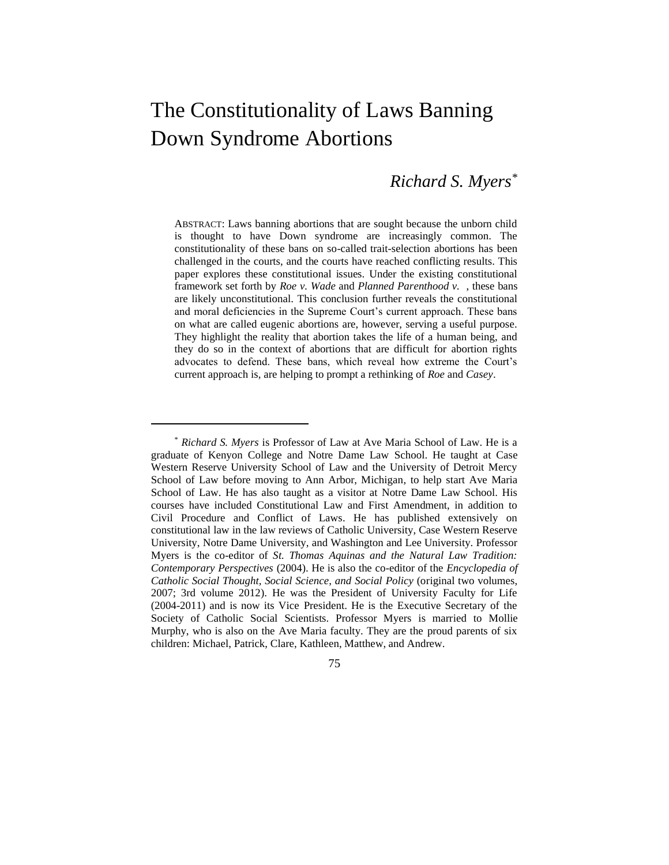# The Constitutionality of Laws Banning Down Syndrome Abortions

# *Richard S. Myers\**

ABSTRACT: Laws banning abortions that are sought because the unborn child is thought to have Down syndrome are increasingly common. The constitutionality of these bans on so-called trait-selection abortions has been challenged in the courts, and the courts have reached conflicting results. This paper explores these constitutional issues. Under the existing constitutional framework set forth by *Roe v. Wade* and *Planned Parenthood v.* , these bans are likely unconstitutional. This conclusion further reveals the constitutional and moral deficiencies in the Supreme Court's current approach. These bans on what are called eugenic abortions are, however, serving a useful purpose. They highlight the reality that abortion takes the life of a human being, and they do so in the context of abortions that are difficult for abortion rights advocates to defend. These bans, which reveal how extreme the Court's current approach is, are helping to prompt a rethinking of *Roe* and *Casey*.

75

<sup>\*</sup> *Richard S. Myers* is Professor of Law at Ave Maria School of Law. He is a graduate of Kenyon College and Notre Dame Law School. He taught at Case Western Reserve University School of Law and the University of Detroit Mercy School of Law before moving to Ann Arbor, Michigan, to help start Ave Maria School of Law. He has also taught as a visitor at Notre Dame Law School. His courses have included Constitutional Law and First Amendment, in addition to Civil Procedure and Conflict of Laws. He has published extensively on constitutional law in the law reviews of Catholic University, Case Western Reserve University, Notre Dame University, and Washington and Lee University. Professor Myers is the co-editor of *St. Thomas Aquinas and the Natural Law Tradition: Contemporary Perspectives* (2004). He is also the co-editor of the *Encyclopedia of Catholic Social Thought, Social Science, and Social Policy* (original two volumes, 2007; 3rd volume 2012). He was the President of University Faculty for Life (2004-2011) and is now its Vice President. He is the Executive Secretary of the Society of Catholic Social Scientists. Professor Myers is married to Mollie Murphy, who is also on the Ave Maria faculty. They are the proud parents of six children: Michael, Patrick, Clare, Kathleen, Matthew, and Andrew.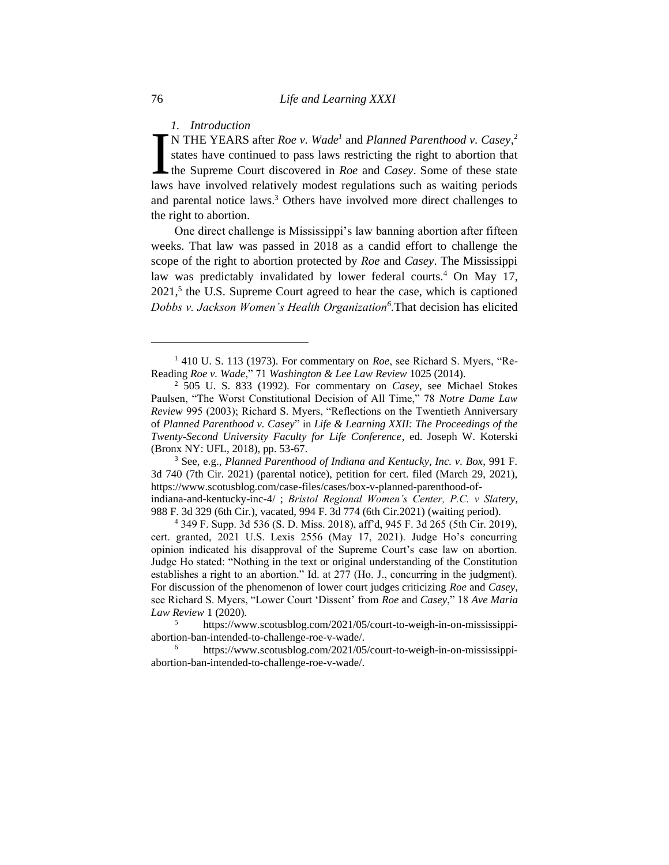*1. Introduction*

N THE YEARS after *Roe v. Wade<sup>1</sup>* and *Planned Parenthood v. Casey*, 2 states have continued to pass laws restricting the right to abortion that the Supreme Court discovered in *Roe* and *Casey*. Some of these state I. Introduction<br>
N THE YEARS after *Roe v. Wade<sup>1</sup>* and *Planned Parenthood v. Casey*,<sup>2</sup><br>
states have continued to pass laws restricting the right to abortion that<br>
the Supreme Court discovered in *Roe* and *Casey*. Some and parental notice laws.<sup>3</sup> Others have involved more direct challenges to the right to abortion.

One direct challenge is Mississippi's law banning abortion after fifteen weeks. That law was passed in 2018 as a candid effort to challenge the scope of the right to abortion protected by *Roe* and *Casey*. The Mississippi law was predictably invalidated by lower federal courts.<sup>4</sup> On May 17, 2021,<sup>5</sup> the U.S. Supreme Court agreed to hear the case, which is captioned *Dobbs v. Jackson Women's Health Organization<sup>6</sup> .*That decision has elicited

988 F. 3d 329 (6th Cir.), vacated, 994 F. 3d 774 (6th Cir.2021) (waiting period).

<sup>4</sup> 349 F. Supp. 3d 536 (S. D. Miss. 2018), aff'd, 945 F. 3d 265 (5th Cir. 2019), cert. granted, 2021 U.S. Lexis 2556 (May 17, 2021). Judge Ho's concurring opinion indicated his disapproval of the Supreme Court's case law on abortion. Judge Ho stated: "Nothing in the text or original understanding of the Constitution establishes a right to an abortion." Id. at 277 (Ho. J., concurring in the judgment). For discussion of the phenomenon of lower court judges criticizing *Roe* and *Casey*, see Richard S. Myers, "Lower Court 'Dissent' from *Roe* and *Casey*," 18 *Ave Maria Law Review* 1 (2020).

<sup>5</sup> https://www.scotusblog.com/2021/05/court-to-weigh-in-on-mississippiabortion-ban-intended-to-challenge-roe-v-wade/.

https://www.scotusblog.com/2021/05/court-to-weigh-in-on-mississippiabortion-ban-intended-to-challenge-roe-v-wade/.

<sup>&</sup>lt;sup>1</sup> 410 U. S. 113 (1973). For commentary on *Roe*, see Richard S. Myers, "Re-Reading *Roe v. Wade*," 71 *Washington & Lee Law Review* 1025 (2014).

<sup>2</sup> 505 U. S. 833 (1992). For commentary on *Casey*, see Michael Stokes Paulsen, "The Worst Constitutional Decision of All Time," 78 *Notre Dame Law Review* 995 (2003); Richard S. Myers, "Reflections on the Twentieth Anniversary of *Planned Parenthood v. Casey*" in *Life & Learning XXII: The Proceedings of the Twenty-Second University Faculty for Life Conference*, ed. Joseph W. Koterski (Bronx NY: UFL, 2018), pp. 53-67.

<sup>3</sup> See, e.g., *Planned Parenthood of Indiana and Kentucky, Inc. v. Box*, 991 F. 3d 740 (7th Cir. 2021) (parental notice), petition for cert. filed (March 29, 2021), https://www.scotusblog.com/case-files/cases/box-v-planned-parenthood-ofindiana-and-kentucky-inc-4/ ; *Bristol Regional Women's Center, P.C. v Slatery*,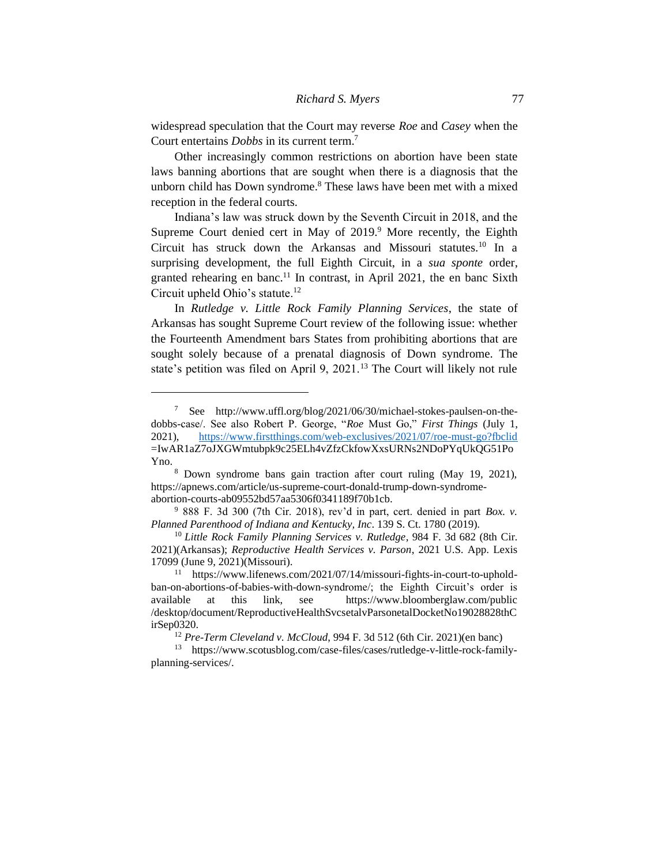widespread speculation that the Court may reverse *Roe* and *Casey* when the Court entertains *Dobbs* in its current term.<sup>7</sup>

Other increasingly common restrictions on abortion have been state laws banning abortions that are sought when there is a diagnosis that the unborn child has Down syndrome.<sup>8</sup> These laws have been met with a mixed reception in the federal courts.

Indiana's law was struck down by the Seventh Circuit in 2018, and the Supreme Court denied cert in May of  $2019.9$ <sup>9</sup> More recently, the Eighth Circuit has struck down the Arkansas and Missouri statutes.<sup>10</sup> In a surprising development, the full Eighth Circuit, in a *sua sponte* order, granted rehearing en banc.<sup>11</sup> In contrast, in April 2021, the en banc Sixth Circuit upheld Ohio's statute.<sup>12</sup>

In *Rutledge v. Little Rock Family Planning Services*, the state of Arkansas has sought Supreme Court review of the following issue: whether the Fourteenth Amendment bars States from prohibiting abortions that are sought solely because of a prenatal diagnosis of Down syndrome. The state's petition was filed on April 9, 2021.<sup>13</sup> The Court will likely not rule

<sup>7</sup> See http://www.uffl.org/blog/2021/06/30/michael-stokes-paulsen-on-thedobbs-case/. See also Robert P. George, "*Roe* Must Go," *First Things* (July 1, 2021), <https://www.firstthings.com/web-exclusives/2021/07/roe-must-go?fbclid> =IwAR1aZ7oJXGWmtubpk9c25ELh4vZfzCkfowXxsURNs2NDoPYqUkQG51Po Yno.

<sup>8</sup> Down syndrome bans gain traction after court ruling (May 19, 2021), https://apnews.com/article/us-supreme-court-donald-trump-down-syndromeabortion-courts-ab09552bd57aa5306f0341189f70b1cb.

<sup>9</sup> 888 F. 3d 300 (7th Cir. 2018), rev'd in part, cert. denied in part *Box. v. Planned Parenthood of Indiana and Kentucky, Inc*. 139 S. Ct. 1780 (2019).

<sup>10</sup> *Little Rock Family Planning Services v. Rutledge*, 984 F. 3d 682 (8th Cir. 2021)(Arkansas); *Reproductive Health Services v. Parson*, 2021 U.S. App. Lexis 17099 (June 9, 2021)(Missouri).

https://www.lifenews.com/2021/07/14/missouri-fights-in-court-to-upholdban-on-abortions-of-babies-with-down-syndrome/; the Eighth Circuit's order is available at this link, see https://www.bloomberglaw.com/public /desktop/document/ReproductiveHealthSvcsetalvParsonetalDocketNo19028828thC irSep0320.

<sup>12</sup> *Pre-Term Cleveland v. McCloud*, 994 F. 3d 512 (6th Cir. 2021)(en banc)

<sup>13</sup> https://www.scotusblog.com/case-files/cases/rutledge-v-little-rock-familyplanning-services/.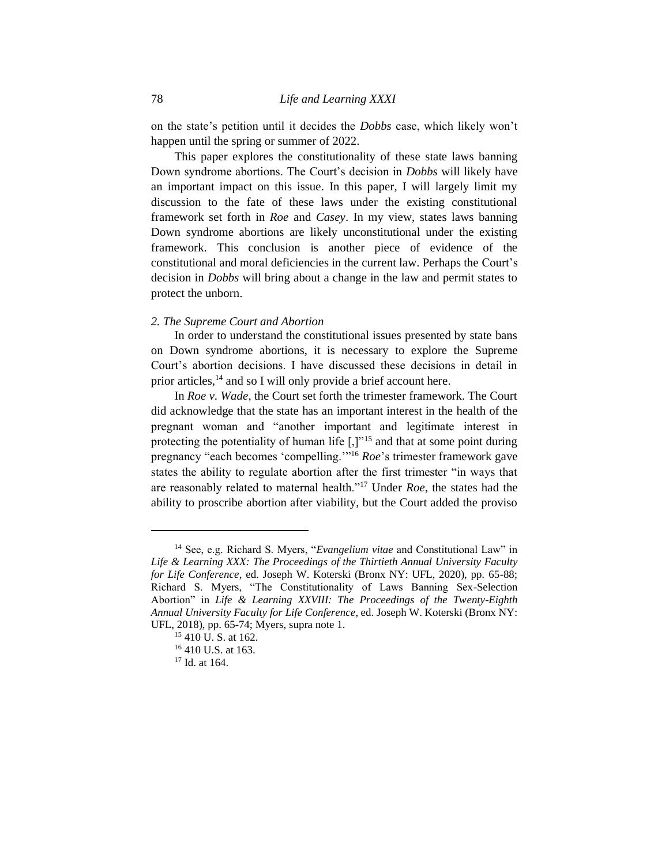on the state's petition until it decides the *Dobbs* case, which likely won't happen until the spring or summer of 2022.

This paper explores the constitutionality of these state laws banning Down syndrome abortions. The Court's decision in *Dobbs* will likely have an important impact on this issue. In this paper, I will largely limit my discussion to the fate of these laws under the existing constitutional framework set forth in *Roe* and *Casey*. In my view, states laws banning Down syndrome abortions are likely unconstitutional under the existing framework. This conclusion is another piece of evidence of the constitutional and moral deficiencies in the current law. Perhaps the Court's decision in *Dobbs* will bring about a change in the law and permit states to protect the unborn.

# *2. The Supreme Court and Abortion*

In order to understand the constitutional issues presented by state bans on Down syndrome abortions, it is necessary to explore the Supreme Court's abortion decisions. I have discussed these decisions in detail in prior articles, $^{14}$  and so I will only provide a brief account here.

In *Roe v. Wade*, the Court set forth the trimester framework. The Court did acknowledge that the state has an important interest in the health of the pregnant woman and "another important and legitimate interest in protecting the potentiality of human life [,]"<sup>15</sup> and that at some point during pregnancy "each becomes 'compelling.'"<sup>16</sup> *Roe*'s trimester framework gave states the ability to regulate abortion after the first trimester "in ways that are reasonably related to maternal health."<sup>17</sup> Under *Roe*, the states had the ability to proscribe abortion after viability, but the Court added the proviso

<sup>14</sup> See, e.g. Richard S. Myers, "*Evangelium vitae* and Constitutional Law" in *Life & Learning XXX: The Proceedings of the Thirtieth Annual University Faculty for Life Conference*, ed. Joseph W. Koterski (Bronx NY: UFL, 2020), pp. 65-88; Richard S. Myers, "The Constitutionality of Laws Banning Sex-Selection Abortion" in *Life & Learning XXVIII: The Proceedings of the Twenty-Eighth Annual University Faculty for Life Conference*, ed. Joseph W. Koterski (Bronx NY: UFL, 2018), pp. 65-74; Myers, supra note 1.

<sup>15</sup> 410 U. S. at 162.

<sup>16</sup> 410 U.S. at 163.

<sup>17</sup> Id. at 164.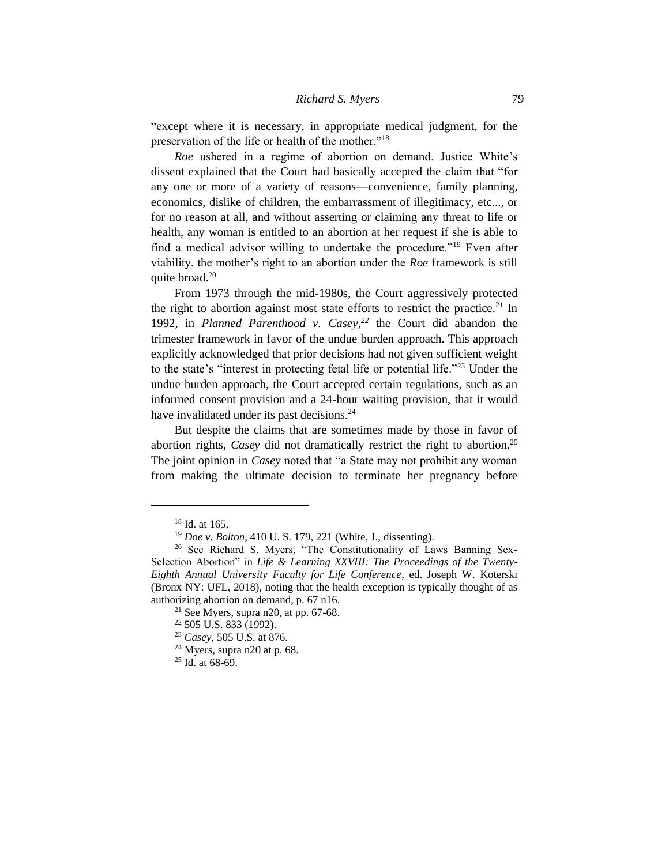"except where it is necessary, in appropriate medical judgment, for the preservation of the life or health of the mother."<sup>18</sup>

*Roe* ushered in a regime of abortion on demand. Justice White's dissent explained that the Court had basically accepted the claim that "for any one or more of a variety of reasons—convenience, family planning, economics, dislike of children, the embarrassment of illegitimacy, etc..., or for no reason at all, and without asserting or claiming any threat to life or health, any woman is entitled to an abortion at her request if she is able to find a medical advisor willing to undertake the procedure."<sup>19</sup> Even after viability, the mother's right to an abortion under the *Roe* framework is still quite broad.<sup>20</sup>

From 1973 through the mid-1980s, the Court aggressively protected the right to abortion against most state efforts to restrict the practice.<sup>21</sup> In 1992, in *Planned Parenthood v. Casey,<sup>22</sup>* the Court did abandon the trimester framework in favor of the undue burden approach. This approach explicitly acknowledged that prior decisions had not given sufficient weight to the state's "interest in protecting fetal life or potential life."<sup>23</sup> Under the undue burden approach, the Court accepted certain regulations, such as an informed consent provision and a 24-hour waiting provision, that it would have invalidated under its past decisions.<sup>24</sup>

But despite the claims that are sometimes made by those in favor of abortion rights, *Casey* did not dramatically restrict the right to abortion.<sup>25</sup> The joint opinion in *Casey* noted that "a State may not prohibit any woman from making the ultimate decision to terminate her pregnancy before

<sup>18</sup> Id. at 165.

<sup>19</sup> *Doe v. Bolton*, 410 U. S. 179, 221 (White, J., dissenting).

<sup>&</sup>lt;sup>20</sup> See Richard S. Myers, "The Constitutionality of Laws Banning Sex-Selection Abortion" in *Life & Learning XXVIII: The Proceedings of the Twenty-Eighth Annual University Faculty for Life Conference*, ed. Joseph W. Koterski (Bronx NY: UFL, 2018), noting that the health exception is typically thought of as authorizing abortion on demand, p. 67 n16.

 $21$  See Myers, supra n20, at pp. 67-68.

<sup>22</sup> 505 U.S. 833 (1992).

<sup>23</sup> *Casey*, 505 U.S. at 876.

 $24$  Myers, supra n20 at p. 68.

 $25$  Id. at 68-69.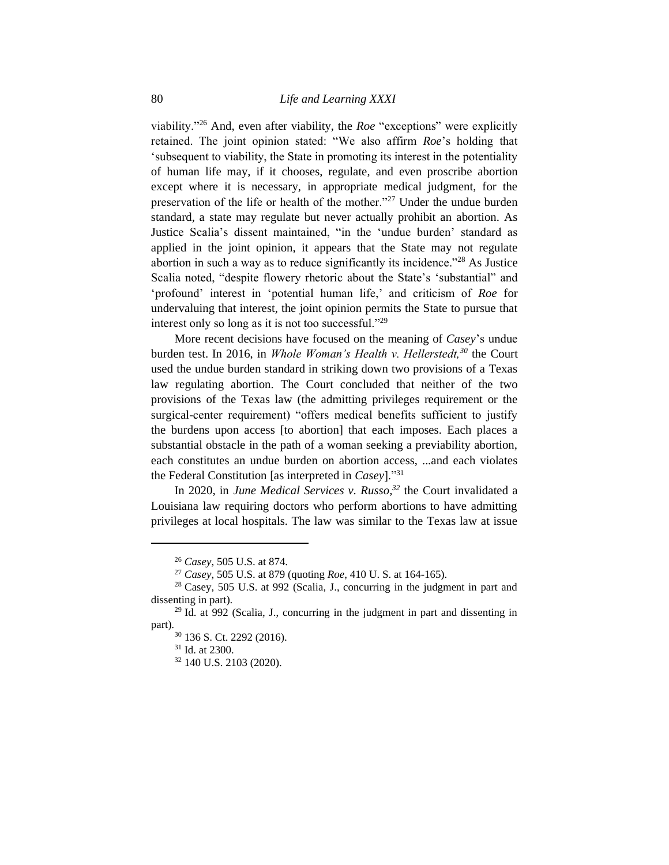viability."<sup>26</sup> And, even after viability, the *Roe* "exceptions" were explicitly retained. The joint opinion stated: "We also affirm *Roe*'s holding that 'subsequent to viability, the State in promoting its interest in the potentiality of human life may, if it chooses, regulate, and even proscribe abortion except where it is necessary, in appropriate medical judgment, for the preservation of the life or health of the mother."<sup>27</sup> Under the undue burden standard, a state may regulate but never actually prohibit an abortion. As Justice Scalia's dissent maintained, "in the 'undue burden' standard as applied in the joint opinion, it appears that the State may not regulate abortion in such a way as to reduce significantly its incidence.<sup> $28$ </sup> As Justice Scalia noted, "despite flowery rhetoric about the State's 'substantial" and 'profound' interest in 'potential human life,' and criticism of *Roe* for undervaluing that interest, the joint opinion permits the State to pursue that interest only so long as it is not too successful."<sup>29</sup>

More recent decisions have focused on the meaning of *Casey*'s undue burden test. In 2016, in *Whole Woman's Health v. Hellerstedt,<sup>30</sup>* the Court used the undue burden standard in striking down two provisions of a Texas law regulating abortion. The Court concluded that neither of the two provisions of the Texas law (the admitting privileges requirement or the surgical-center requirement) "offers medical benefits sufficient to justify the burdens upon access [to abortion] that each imposes. Each places a substantial obstacle in the path of a woman seeking a previability abortion, each constitutes an undue burden on abortion access, ...and each violates the Federal Constitution [as interpreted in *Casey*]."<sup>31</sup>

In 2020, in *June Medical Services v. Russo,<sup>32</sup>* the Court invalidated a Louisiana law requiring doctors who perform abortions to have admitting privileges at local hospitals. The law was similar to the Texas law at issue

<sup>26</sup> *Casey*, 505 U.S. at 874.

<sup>27</sup> *Casey*, 505 U.S. at 879 (quoting *Roe*, 410 U. S. at 164-165).

<sup>28</sup> Casey, 505 U.S. at 992 (Scalia, J., concurring in the judgment in part and dissenting in part).

<sup>29</sup> Id. at 992 (Scalia, J., concurring in the judgment in part and dissenting in part).

<sup>30</sup> 136 S. Ct. 2292 (2016).

<sup>31</sup> Id. at 2300.

<sup>32</sup> 140 U.S. 2103 (2020).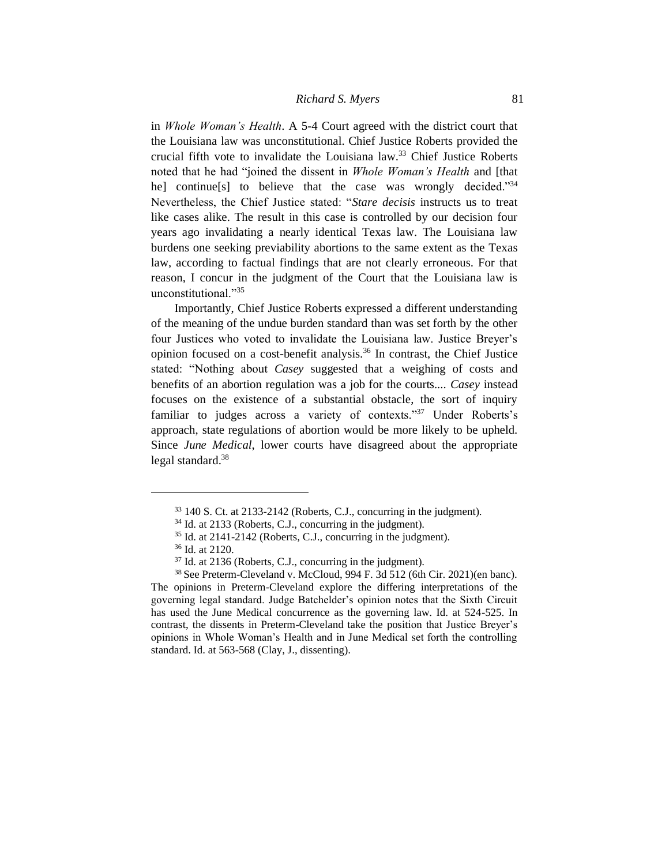# *Richard S. Myers* 81

in *Whole Woman's Health*. A 5-4 Court agreed with the district court that the Louisiana law was unconstitutional. Chief Justice Roberts provided the crucial fifth vote to invalidate the Louisiana law.<sup>33</sup> Chief Justice Roberts noted that he had "joined the dissent in *Whole Woman's Health* and [that he] continue[s] to believe that the case was wrongly decided."<sup>34</sup> Nevertheless, the Chief Justice stated: "*Stare decisis* instructs us to treat like cases alike. The result in this case is controlled by our decision four years ago invalidating a nearly identical Texas law. The Louisiana law burdens one seeking previability abortions to the same extent as the Texas law, according to factual findings that are not clearly erroneous. For that reason, I concur in the judgment of the Court that the Louisiana law is unconstitutional."<sup>35</sup>

Importantly, Chief Justice Roberts expressed a different understanding of the meaning of the undue burden standard than was set forth by the other four Justices who voted to invalidate the Louisiana law. Justice Breyer's opinion focused on a cost-benefit analysis.<sup>36</sup> In contrast, the Chief Justice stated: "Nothing about *Casey* suggested that a weighing of costs and benefits of an abortion regulation was a job for the courts.... *Casey* instead focuses on the existence of a substantial obstacle, the sort of inquiry familiar to judges across a variety of contexts."<sup>37</sup> Under Roberts's approach, state regulations of abortion would be more likely to be upheld. Since *June Medical*, lower courts have disagreed about the appropriate legal standard. $38$ 

<sup>33</sup> 140 S. Ct. at 2133-2142 (Roberts, C.J., concurring in the judgment).

<sup>34</sup> Id. at 2133 (Roberts, C.J., concurring in the judgment).

<sup>35</sup> Id. at 2141-2142 (Roberts, C.J., concurring in the judgment).

<sup>36</sup> Id. at 2120.

<sup>37</sup> Id. at 2136 (Roberts, C.J., concurring in the judgment).

<sup>38</sup>See Preterm-Cleveland v. McCloud, 994 F. 3d 512 (6th Cir. 2021)(en banc). The opinions in Preterm-Cleveland explore the differing interpretations of the governing legal standard. Judge Batchelder's opinion notes that the Sixth Circuit has used the June Medical concurrence as the governing law. Id. at 524-525. In contrast, the dissents in Preterm-Cleveland take the position that Justice Breyer's opinions in Whole Woman's Health and in June Medical set forth the controlling standard. Id. at 563-568 (Clay, J., dissenting).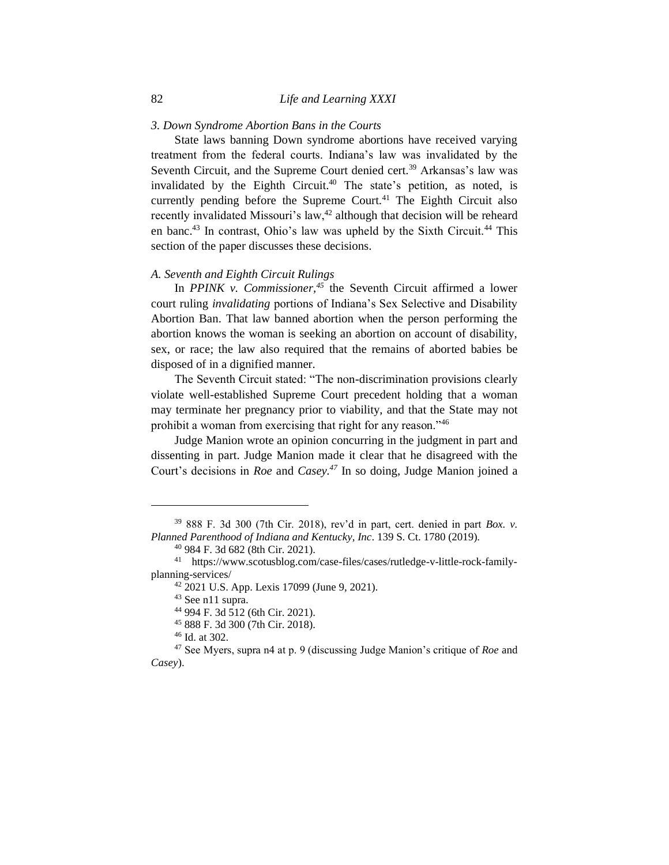# *3. Down Syndrome Abortion Bans in the Courts*

State laws banning Down syndrome abortions have received varying treatment from the federal courts. Indiana's law was invalidated by the Seventh Circuit, and the Supreme Court denied cert.<sup>39</sup> Arkansas's law was invalidated by the Eighth Circuit.<sup>40</sup> The state's petition, as noted, is currently pending before the Supreme Court.<sup>41</sup> The Eighth Circuit also recently invalidated Missouri's law,<sup>42</sup> although that decision will be reheard en banc.<sup>43</sup> In contrast, Ohio's law was upheld by the Sixth Circuit.<sup>44</sup> This section of the paper discusses these decisions.

#### *A. Seventh and Eighth Circuit Rulings*

In *PPINK v. Commissioner*,<sup>45</sup> the Seventh Circuit affirmed a lower court ruling *invalidating* portions of Indiana's Sex Selective and Disability Abortion Ban. That law banned abortion when the person performing the abortion knows the woman is seeking an abortion on account of disability, sex, or race; the law also required that the remains of aborted babies be disposed of in a dignified manner.

The Seventh Circuit stated: "The non-discrimination provisions clearly violate well-established Supreme Court precedent holding that a woman may terminate her pregnancy prior to viability, and that the State may not prohibit a woman from exercising that right for any reason."<sup>46</sup>

Judge Manion wrote an opinion concurring in the judgment in part and dissenting in part. Judge Manion made it clear that he disagreed with the Court's decisions in *Roe* and *Casey.<sup>47</sup>* In so doing, Judge Manion joined a

<sup>39</sup> 888 F. 3d 300 (7th Cir. 2018), rev'd in part, cert. denied in part *Box. v. Planned Parenthood of Indiana and Kentucky, Inc*. 139 S. Ct. 1780 (2019).

<sup>40</sup> 984 F. 3d 682 (8th Cir. 2021).

<sup>41</sup> https://www.scotusblog.com/case-files/cases/rutledge-v-little-rock-familyplanning-services/

<sup>42</sup> 2021 U.S. App. Lexis 17099 (June 9, 2021).

<sup>43</sup> See n11 supra.

<sup>44</sup> 994 F. 3d 512 (6th Cir. 2021).

<sup>45</sup> 888 F. 3d 300 (7th Cir. 2018).

<sup>46</sup> Id. at 302.

<sup>47</sup> See Myers, supra n4 at p. 9 (discussing Judge Manion's critique of *Roe* and *Casey*).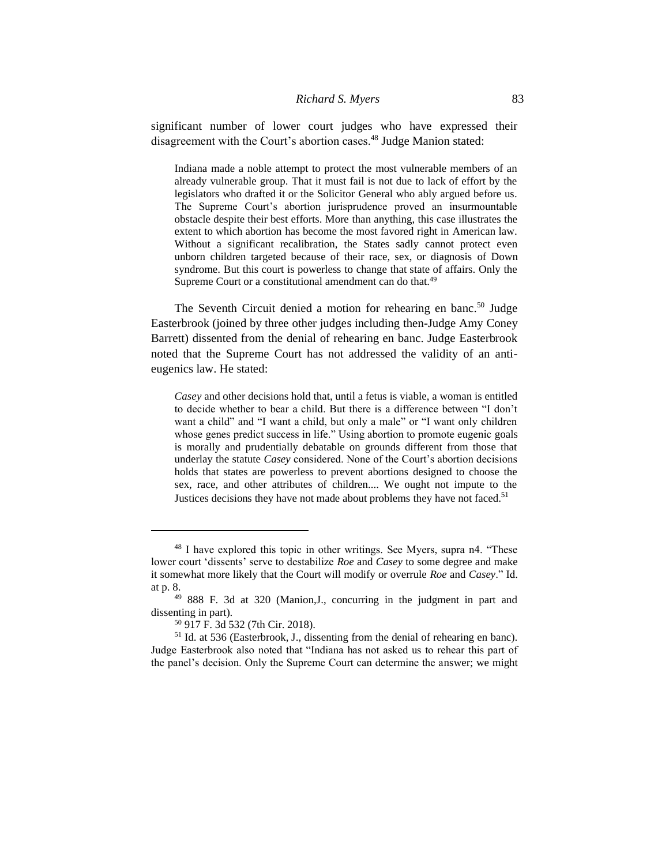significant number of lower court judges who have expressed their disagreement with the Court's abortion cases.<sup>48</sup> Judge Manion stated:

Indiana made a noble attempt to protect the most vulnerable members of an already vulnerable group. That it must fail is not due to lack of effort by the legislators who drafted it or the Solicitor General who ably argued before us. The Supreme Court's abortion jurisprudence proved an insurmountable obstacle despite their best efforts. More than anything, this case illustrates the extent to which abortion has become the most favored right in American law. Without a significant recalibration, the States sadly cannot protect even unborn children targeted because of their race, sex, or diagnosis of Down syndrome. But this court is powerless to change that state of affairs. Only the Supreme Court or a constitutional amendment can do that.<sup>49</sup>

The Seventh Circuit denied a motion for rehearing en banc.<sup>50</sup> Judge Easterbrook (joined by three other judges including then-Judge Amy Coney Barrett) dissented from the denial of rehearing en banc. Judge Easterbrook noted that the Supreme Court has not addressed the validity of an antieugenics law. He stated:

*Casey* and other decisions hold that, until a fetus is viable, a woman is entitled to decide whether to bear a child. But there is a difference between "I don't want a child" and "I want a child, but only a male" or "I want only children whose genes predict success in life." Using abortion to promote eugenic goals is morally and prudentially debatable on grounds different from those that underlay the statute *Casey* considered. None of the Court's abortion decisions holds that states are powerless to prevent abortions designed to choose the sex, race, and other attributes of children.... We ought not impute to the Justices decisions they have not made about problems they have not faced.<sup>51</sup>

<sup>48</sup> I have explored this topic in other writings. See Myers, supra n4. "These lower court 'dissents' serve to destabilize *Roe* and *Casey* to some degree and make it somewhat more likely that the Court will modify or overrule *Roe* and *Casey*." Id. at p. 8.

<sup>49</sup> 888 F. 3d at 320 (Manion,J., concurring in the judgment in part and dissenting in part).

<sup>50</sup> 917 F. 3d 532 (7th Cir. 2018).

<sup>51</sup> Id. at 536 (Easterbrook, J., dissenting from the denial of rehearing en banc). Judge Easterbrook also noted that "Indiana has not asked us to rehear this part of the panel's decision. Only the Supreme Court can determine the answer; we might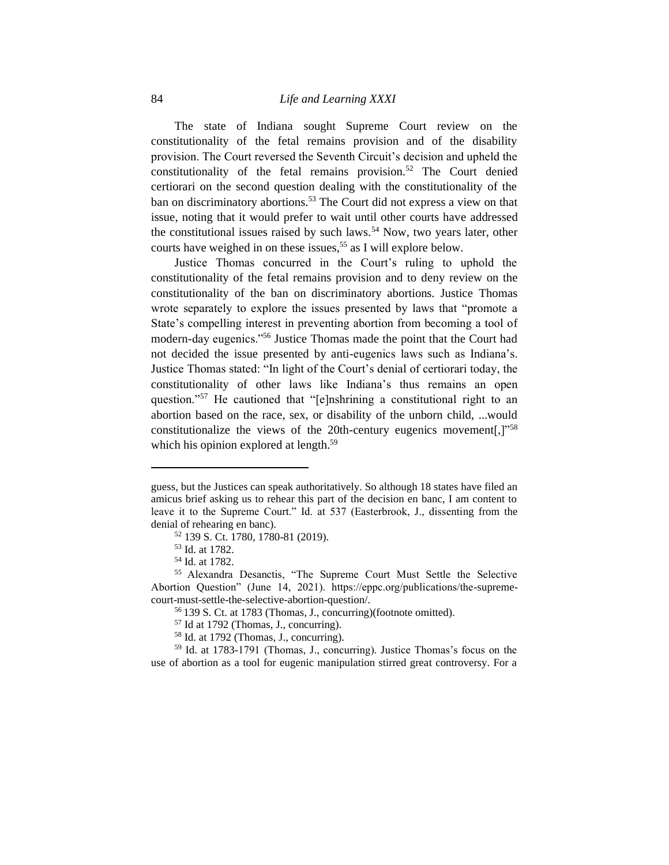The state of Indiana sought Supreme Court review on the constitutionality of the fetal remains provision and of the disability provision. The Court reversed the Seventh Circuit's decision and upheld the constitutionality of the fetal remains provision.<sup>52</sup> The Court denied certiorari on the second question dealing with the constitutionality of the ban on discriminatory abortions.<sup>53</sup> The Court did not express a view on that issue, noting that it would prefer to wait until other courts have addressed the constitutional issues raised by such laws.<sup>54</sup> Now, two years later, other courts have weighed in on these issues,<sup>55</sup> as I will explore below.

Justice Thomas concurred in the Court's ruling to uphold the constitutionality of the fetal remains provision and to deny review on the constitutionality of the ban on discriminatory abortions. Justice Thomas wrote separately to explore the issues presented by laws that "promote a State's compelling interest in preventing abortion from becoming a tool of modern-day eugenics."<sup>56</sup> Justice Thomas made the point that the Court had not decided the issue presented by anti-eugenics laws such as Indiana's. Justice Thomas stated: "In light of the Court's denial of certiorari today, the constitutionality of other laws like Indiana's thus remains an open question."<sup>57</sup> He cautioned that "[e]nshrining a constitutional right to an abortion based on the race, sex, or disability of the unborn child, ...would constitutionalize the views of the 20th-century eugenics movement[, $]$ <sup>"58</sup> which his opinion explored at length.<sup>59</sup>

guess, but the Justices can speak authoritatively. So although 18 states have filed an amicus brief asking us to rehear this part of the decision en banc, I am content to leave it to the Supreme Court." Id. at 537 (Easterbrook, J., dissenting from the denial of rehearing en banc).

<sup>52</sup> 139 S. Ct. 1780, 1780-81 (2019).

<sup>53</sup> Id. at 1782.

<sup>54</sup> Id. at 1782.

<sup>55</sup> Alexandra Desanctis, "The Supreme Court Must Settle the Selective Abortion Question" (June 14, 2021). https://eppc.org/publications/the-supremecourt-must-settle-the-selective-abortion-question/.

<sup>56</sup> 139 S. Ct. at 1783 (Thomas, J., concurring)(footnote omitted).

<sup>57</sup> Id at 1792 (Thomas, J., concurring).

<sup>58</sup> Id. at 1792 (Thomas, J., concurring).

<sup>59</sup> Id. at 1783-1791 (Thomas, J., concurring). Justice Thomas's focus on the use of abortion as a tool for eugenic manipulation stirred great controversy. For a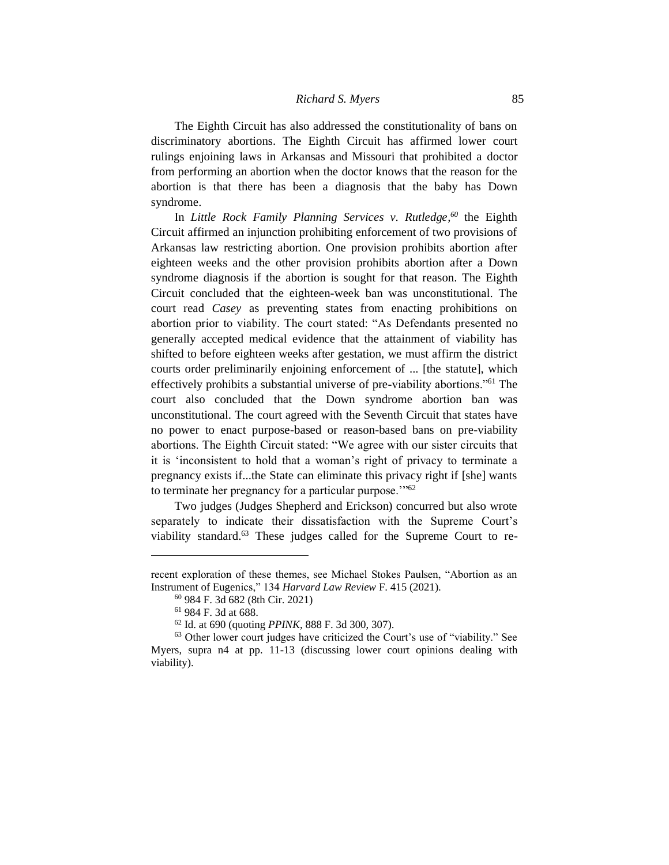The Eighth Circuit has also addressed the constitutionality of bans on discriminatory abortions. The Eighth Circuit has affirmed lower court rulings enjoining laws in Arkansas and Missouri that prohibited a doctor from performing an abortion when the doctor knows that the reason for the abortion is that there has been a diagnosis that the baby has Down syndrome.

In *Little Rock Family Planning Services v. Rutledge, <sup>60</sup>* the Eighth Circuit affirmed an injunction prohibiting enforcement of two provisions of Arkansas law restricting abortion. One provision prohibits abortion after eighteen weeks and the other provision prohibits abortion after a Down syndrome diagnosis if the abortion is sought for that reason. The Eighth Circuit concluded that the eighteen-week ban was unconstitutional. The court read *Casey* as preventing states from enacting prohibitions on abortion prior to viability. The court stated: "As Defendants presented no generally accepted medical evidence that the attainment of viability has shifted to before eighteen weeks after gestation, we must affirm the district courts order preliminarily enjoining enforcement of ... [the statute], which effectively prohibits a substantial universe of pre-viability abortions."<sup>61</sup> The court also concluded that the Down syndrome abortion ban was unconstitutional. The court agreed with the Seventh Circuit that states have no power to enact purpose-based or reason-based bans on pre-viability abortions. The Eighth Circuit stated: "We agree with our sister circuits that it is 'inconsistent to hold that a woman's right of privacy to terminate a pregnancy exists if...the State can eliminate this privacy right if [she] wants to terminate her pregnancy for a particular purpose."<sup>62</sup>

Two judges (Judges Shepherd and Erickson) concurred but also wrote separately to indicate their dissatisfaction with the Supreme Court's viability standard.<sup>63</sup> These judges called for the Supreme Court to re-

recent exploration of these themes, see Michael Stokes Paulsen, "Abortion as an Instrument of Eugenics," 134 *Harvard Law Review* F. 415 (2021).

<sup>60</sup> 984 F. 3d 682 (8th Cir. 2021)

<sup>61</sup> 984 F. 3d at 688.

<sup>62</sup> Id. at 690 (quoting *PPINK*, 888 F. 3d 300, 307).

<sup>63</sup> Other lower court judges have criticized the Court's use of "viability." See Myers, supra n4 at pp. 11-13 (discussing lower court opinions dealing with viability).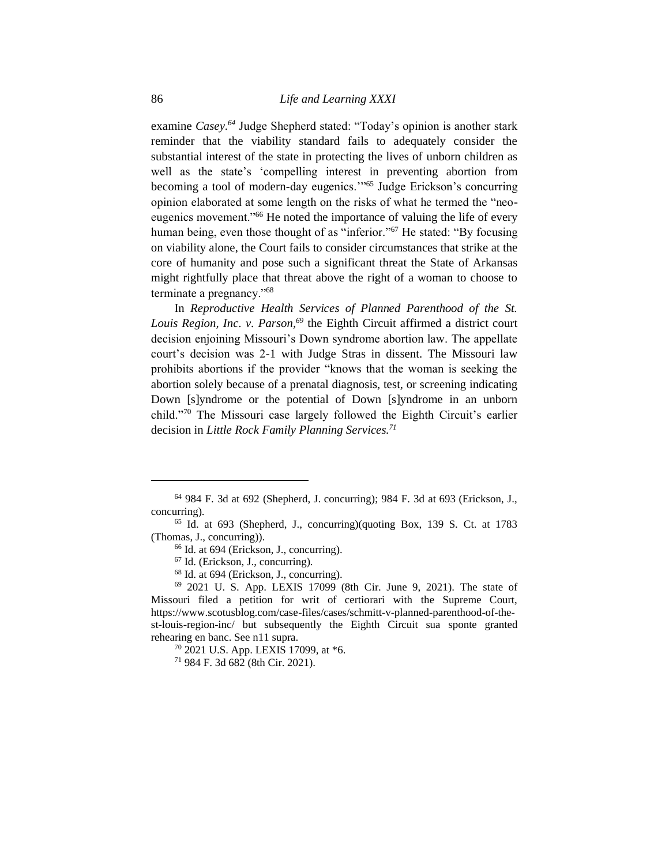examine *Casey.<sup>64</sup>* Judge Shepherd stated: "Today's opinion is another stark reminder that the viability standard fails to adequately consider the substantial interest of the state in protecting the lives of unborn children as well as the state's 'compelling interest in preventing abortion from becoming a tool of modern-day eugenics.'"<sup>65</sup> Judge Erickson's concurring opinion elaborated at some length on the risks of what he termed the "neoeugenics movement.<sup>"66</sup> He noted the importance of valuing the life of every human being, even those thought of as "inferior."<sup>67</sup> He stated: "By focusing on viability alone, the Court fails to consider circumstances that strike at the core of humanity and pose such a significant threat the State of Arkansas might rightfully place that threat above the right of a woman to choose to terminate a pregnancy."<sup>68</sup>

In *Reproductive Health Services of Planned Parenthood of the St. Louis Region, Inc. v. Parson,<sup>69</sup>* the Eighth Circuit affirmed a district court decision enjoining Missouri's Down syndrome abortion law. The appellate court's decision was 2-1 with Judge Stras in dissent. The Missouri law prohibits abortions if the provider "knows that the woman is seeking the abortion solely because of a prenatal diagnosis, test, or screening indicating Down [s]yndrome or the potential of Down [s]yndrome in an unborn child."<sup>70</sup> The Missouri case largely followed the Eighth Circuit's earlier decision in *Little Rock Family Planning Services.<sup>71</sup>*

<sup>64</sup> 984 F. 3d at 692 (Shepherd, J. concurring); 984 F. 3d at 693 (Erickson, J., concurring).

<sup>65</sup> Id. at 693 (Shepherd, J., concurring)(quoting Box, 139 S. Ct. at 1783 (Thomas, J., concurring)).

<sup>66</sup> Id. at 694 (Erickson, J., concurring).

<sup>67</sup> Id. (Erickson, J., concurring).

<sup>68</sup> Id. at 694 (Erickson, J., concurring).

<sup>69</sup> 2021 U. S. App. LEXIS 17099 (8th Cir. June 9, 2021). The state of Missouri filed a petition for writ of certiorari with the Supreme Court, https://www.scotusblog.com/case-files/cases/schmitt-v-planned-parenthood-of-thest-louis-region-inc/ but subsequently the Eighth Circuit sua sponte granted rehearing en banc. See n11 supra.

<sup>70</sup> 2021 U.S. App. LEXIS 17099, at \*6.

<sup>71</sup> 984 F. 3d 682 (8th Cir. 2021).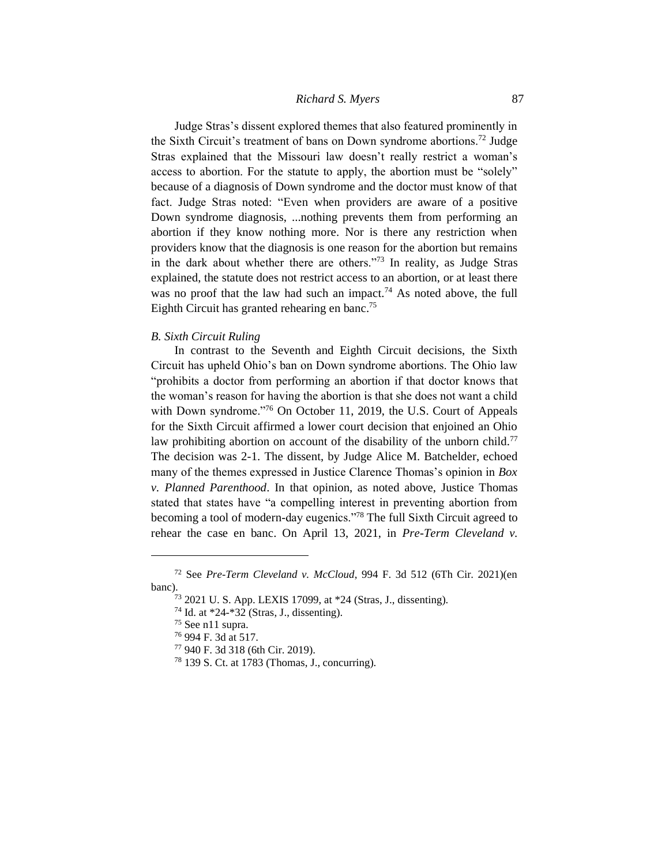Judge Stras's dissent explored themes that also featured prominently in the Sixth Circuit's treatment of bans on Down syndrome abortions.<sup>72</sup> Judge Stras explained that the Missouri law doesn't really restrict a woman's access to abortion. For the statute to apply, the abortion must be "solely" because of a diagnosis of Down syndrome and the doctor must know of that fact. Judge Stras noted: "Even when providers are aware of a positive Down syndrome diagnosis, ...nothing prevents them from performing an abortion if they know nothing more. Nor is there any restriction when providers know that the diagnosis is one reason for the abortion but remains in the dark about whether there are others."<sup>73</sup> In reality, as Judge Stras explained, the statute does not restrict access to an abortion, or at least there was no proof that the law had such an impact.<sup>74</sup> As noted above, the full Eighth Circuit has granted rehearing en banc.<sup>75</sup>

#### *B. Sixth Circuit Ruling*

In contrast to the Seventh and Eighth Circuit decisions, the Sixth Circuit has upheld Ohio's ban on Down syndrome abortions. The Ohio law "prohibits a doctor from performing an abortion if that doctor knows that the woman's reason for having the abortion is that she does not want a child with Down syndrome."<sup>76</sup> On October 11, 2019, the U.S. Court of Appeals for the Sixth Circuit affirmed a lower court decision that enjoined an Ohio law prohibiting abortion on account of the disability of the unborn child.<sup>77</sup> The decision was 2-1. The dissent, by Judge Alice M. Batchelder, echoed many of the themes expressed in Justice Clarence Thomas's opinion in *Box v. Planned Parenthood*. In that opinion, as noted above, Justice Thomas stated that states have "a compelling interest in preventing abortion from becoming a tool of modern-day eugenics."<sup>78</sup> The full Sixth Circuit agreed to rehear the case en banc. On April 13, 2021, in *Pre-Term Cleveland v.* 

<sup>72</sup> See *Pre-Term Cleveland v. McCloud*, 994 F. 3d 512 (6Th Cir. 2021)(en banc).

<sup>73</sup> 2021 U. S. App. LEXIS 17099, at \*24 (Stras, J., dissenting).

<sup>74</sup> Id. at \*24-\*32 (Stras, J., dissenting).

<sup>75</sup> See n11 supra.

<sup>76</sup> 994 F. 3d at 517.

<sup>77</sup> 940 F. 3d 318 (6th Cir. 2019).

<sup>78</sup> 139 S. Ct. at 1783 (Thomas, J., concurring).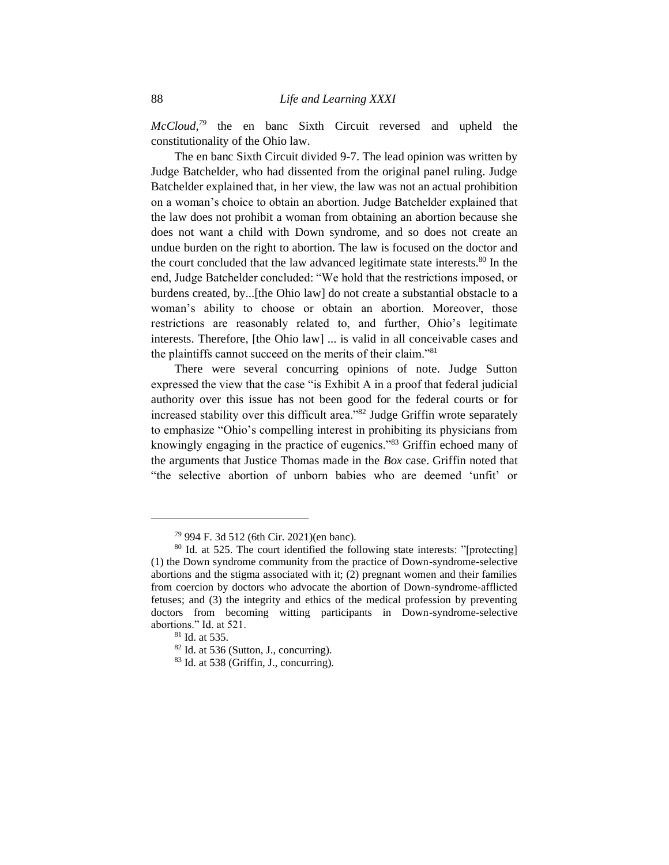*McCloud,<sup>79</sup>* the en banc Sixth Circuit reversed and upheld the constitutionality of the Ohio law.

The en banc Sixth Circuit divided 9-7. The lead opinion was written by Judge Batchelder, who had dissented from the original panel ruling. Judge Batchelder explained that, in her view, the law was not an actual prohibition on a woman's choice to obtain an abortion. Judge Batchelder explained that the law does not prohibit a woman from obtaining an abortion because she does not want a child with Down syndrome, and so does not create an undue burden on the right to abortion. The law is focused on the doctor and the court concluded that the law advanced legitimate state interests.<sup>80</sup> In the end, Judge Batchelder concluded: "We hold that the restrictions imposed, or burdens created, by...[the Ohio law] do not create a substantial obstacle to a woman's ability to choose or obtain an abortion. Moreover, those restrictions are reasonably related to, and further, Ohio's legitimate interests. Therefore, [the Ohio law] ... is valid in all conceivable cases and the plaintiffs cannot succeed on the merits of their claim."<sup>81</sup>

There were several concurring opinions of note. Judge Sutton expressed the view that the case "is Exhibit A in a proof that federal judicial authority over this issue has not been good for the federal courts or for increased stability over this difficult area."<sup>82</sup> Judge Griffin wrote separately to emphasize "Ohio's compelling interest in prohibiting its physicians from knowingly engaging in the practice of eugenics."<sup>83</sup> Griffin echoed many of the arguments that Justice Thomas made in the *Box* case. Griffin noted that "the selective abortion of unborn babies who are deemed 'unfit' or

<sup>79</sup> 994 F. 3d 512 (6th Cir. 2021)(en banc).

<sup>80</sup> Id. at 525. The court identified the following state interests: "[protecting] (1) the Down syndrome community from the practice of Down-syndrome-selective abortions and the stigma associated with it; (2) pregnant women and their families from coercion by doctors who advocate the abortion of Down-syndrome-afflicted fetuses; and (3) the integrity and ethics of the medical profession by preventing doctors from becoming witting participants in Down-syndrome-selective abortions." Id. at 521.

<sup>81</sup> Id. at 535.

<sup>82</sup> Id. at 536 (Sutton, J., concurring).

<sup>83</sup> Id. at 538 (Griffin, J., concurring).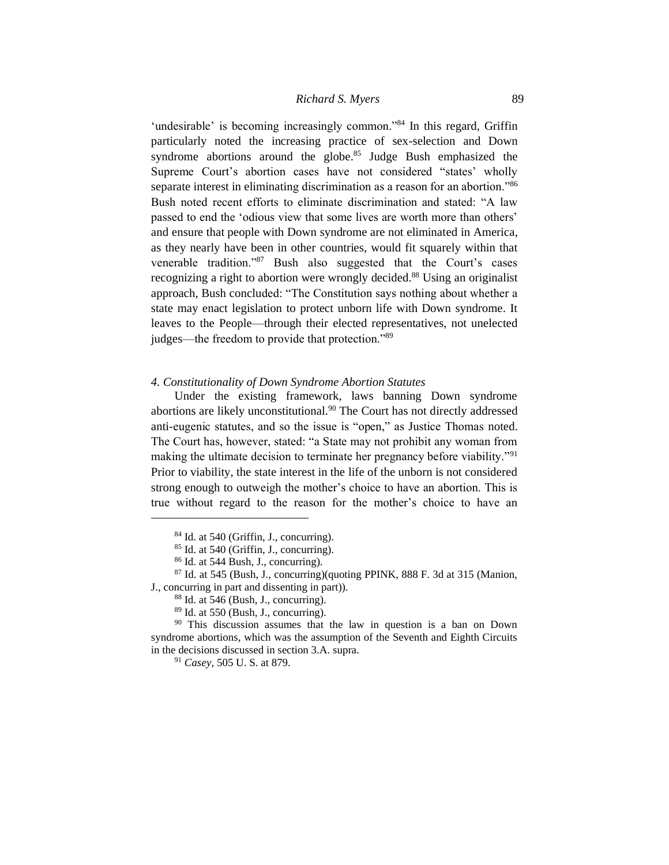'undesirable' is becoming increasingly common."<sup>84</sup> In this regard, Griffin particularly noted the increasing practice of sex-selection and Down syndrome abortions around the globe.<sup>85</sup> Judge Bush emphasized the Supreme Court's abortion cases have not considered "states' wholly separate interest in eliminating discrimination as a reason for an abortion."<sup>86</sup> Bush noted recent efforts to eliminate discrimination and stated: "A law passed to end the 'odious view that some lives are worth more than others' and ensure that people with Down syndrome are not eliminated in America, as they nearly have been in other countries, would fit squarely within that venerable tradition."<sup>87</sup> Bush also suggested that the Court's cases recognizing a right to abortion were wrongly decided.<sup>88</sup> Using an originalist approach, Bush concluded: "The Constitution says nothing about whether a state may enact legislation to protect unborn life with Down syndrome. It leaves to the People—through their elected representatives, not unelected judges—the freedom to provide that protection."<sup>89</sup>

#### *4. Constitutionality of Down Syndrome Abortion Statutes*

Under the existing framework, laws banning Down syndrome abortions are likely unconstitutional.<sup>90</sup> The Court has not directly addressed anti-eugenic statutes, and so the issue is "open," as Justice Thomas noted. The Court has, however, stated: "a State may not prohibit any woman from making the ultimate decision to terminate her pregnancy before viability."<sup>91</sup> Prior to viability, the state interest in the life of the unborn is not considered strong enough to outweigh the mother's choice to have an abortion. This is true without regard to the reason for the mother's choice to have an

 $84$  Id. at 540 (Griffin, J., concurring).

<sup>85</sup> Id. at 540 (Griffin, J., concurring).

<sup>86</sup> Id. at 544 Bush, J., concurring).

 $87$  Id. at 545 (Bush, J., concurring)(quoting PPINK, 888 F. 3d at 315 (Manion, J., concurring in part and dissenting in part)).

 $88$  Id. at 546 (Bush, J., concurring).

<sup>89</sup> Id. at 550 (Bush, J., concurring).

<sup>&</sup>lt;sup>90</sup> This discussion assumes that the law in question is a ban on Down syndrome abortions, which was the assumption of the Seventh and Eighth Circuits in the decisions discussed in section 3.A. supra.

<sup>91</sup> *Casey*, 505 U. S. at 879.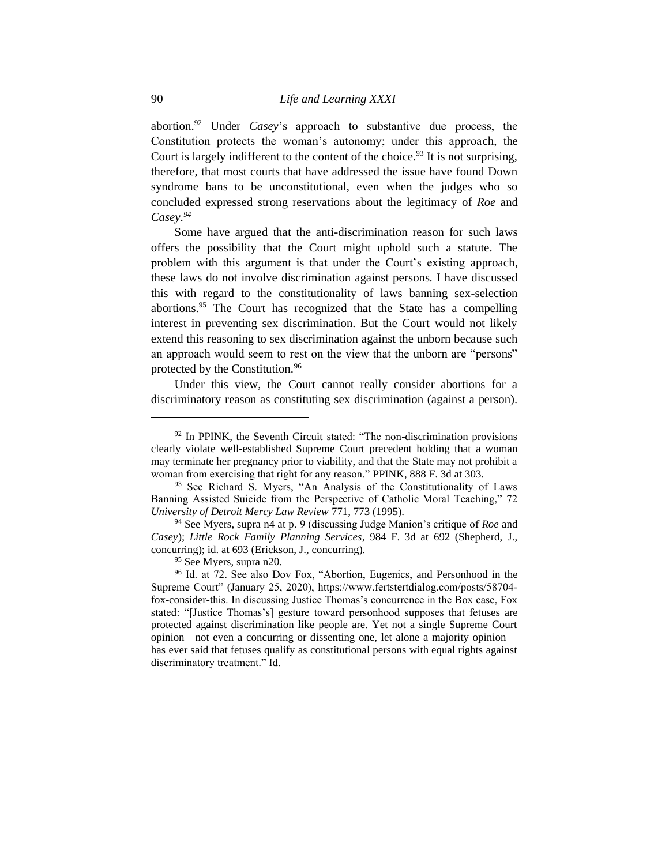abortion.<sup>92</sup> Under *Casey*'s approach to substantive due process, the Constitution protects the woman's autonomy; under this approach, the Court is largely indifferent to the content of the choice.<sup>93</sup> It is not surprising, therefore, that most courts that have addressed the issue have found Down syndrome bans to be unconstitutional, even when the judges who so concluded expressed strong reservations about the legitimacy of *Roe* and *Casey.<sup>94</sup>*

Some have argued that the anti-discrimination reason for such laws offers the possibility that the Court might uphold such a statute. The problem with this argument is that under the Court's existing approach, these laws do not involve discrimination against persons. I have discussed this with regard to the constitutionality of laws banning sex-selection abortions.<sup>95</sup> The Court has recognized that the State has a compelling interest in preventing sex discrimination. But the Court would not likely extend this reasoning to sex discrimination against the unborn because such an approach would seem to rest on the view that the unborn are "persons" protected by the Constitution.<sup>96</sup>

Under this view, the Court cannot really consider abortions for a discriminatory reason as constituting sex discrimination (against a person).

 $92$  In PPINK, the Seventh Circuit stated: "The non-discrimination provisions clearly violate well-established Supreme Court precedent holding that a woman may terminate her pregnancy prior to viability, and that the State may not prohibit a woman from exercising that right for any reason." PPINK, 888 F. 3d at 303.

<sup>&</sup>lt;sup>93</sup> See Richard S. Myers, "An Analysis of the Constitutionality of Laws Banning Assisted Suicide from the Perspective of Catholic Moral Teaching," 72 *University of Detroit Mercy Law Review* 771, 773 (1995).

<sup>94</sup> See Myers, supra n4 at p. 9 (discussing Judge Manion's critique of *Roe* and *Casey*); *Little Rock Family Planning Services*, 984 F. 3d at 692 (Shepherd, J., concurring); id. at 693 (Erickson, J., concurring).

<sup>&</sup>lt;sup>95</sup> See Myers, supra n20.

<sup>&</sup>lt;sup>96</sup> Id. at 72. See also Dov Fox, "Abortion, Eugenics, and Personhood in the Supreme Court" (January 25, 2020), https://www.fertstertdialog.com/posts/58704 fox-consider-this. In discussing Justice Thomas's concurrence in the Box case, Fox stated: "[Justice Thomas's] gesture toward personhood supposes that fetuses are protected against discrimination like people are. Yet not a single Supreme Court opinion—not even a concurring or dissenting one, let alone a majority opinion has ever said that fetuses qualify as constitutional persons with equal rights against discriminatory treatment." Id.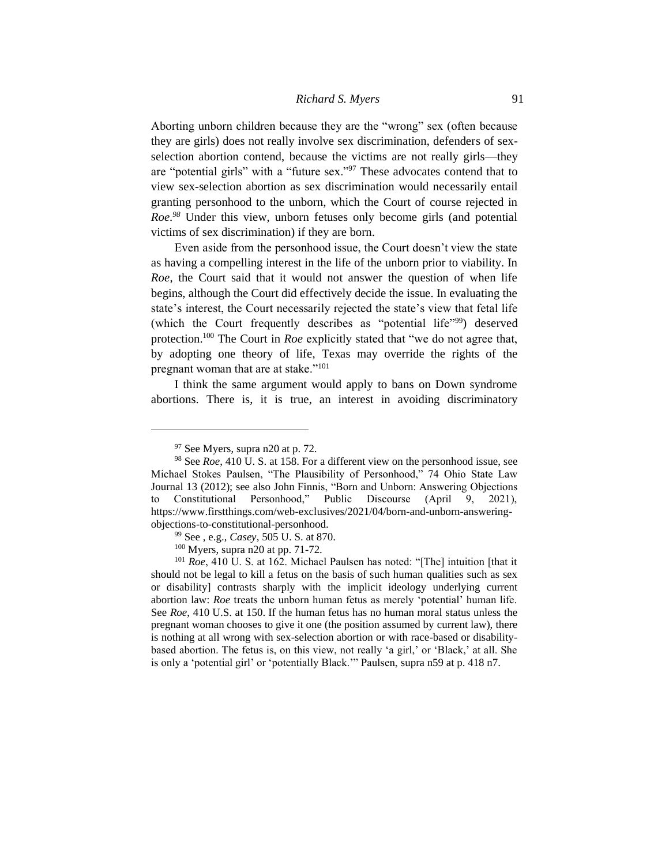Aborting unborn children because they are the "wrong" sex (often because they are girls) does not really involve sex discrimination, defenders of sexselection abortion contend, because the victims are not really girls—they are "potential girls" with a "future sex."<sup>97</sup> These advocates contend that to view sex-selection abortion as sex discrimination would necessarily entail granting personhood to the unborn, which the Court of course rejected in *Roe.<sup>98</sup>* Under this view, unborn fetuses only become girls (and potential victims of sex discrimination) if they are born.

Even aside from the personhood issue, the Court doesn't view the state as having a compelling interest in the life of the unborn prior to viability. In *Roe*, the Court said that it would not answer the question of when life begins, although the Court did effectively decide the issue. In evaluating the state's interest, the Court necessarily rejected the state's view that fetal life (which the Court frequently describes as "potential life"<sup>99</sup>) deserved protection.<sup>100</sup> The Court in *Roe* explicitly stated that "we do not agree that, by adopting one theory of life, Texas may override the rights of the pregnant woman that are at stake."<sup>101</sup>

I think the same argument would apply to bans on Down syndrome abortions. There is, it is true, an interest in avoiding discriminatory

<sup>97</sup> See Myers, supra n20 at p. 72.

<sup>98</sup> See *Roe*, 410 U. S. at 158. For a different view on the personhood issue, see Michael Stokes Paulsen, "The Plausibility of Personhood," 74 Ohio State Law Journal 13 (2012); see also John Finnis, "Born and Unborn: Answering Objections to Constitutional Personhood," Public Discourse (April 9, 2021), https://www.firstthings.com/web-exclusives/2021/04/born-and-unborn-answeringobjections-to-constitutional-personhood.

<sup>99</sup> See , e.g., *Casey*, 505 U. S. at 870.

<sup>100</sup> Myers, supra n20 at pp. 71-72.

<sup>101</sup> *Roe*, 410 U. S. at 162. Michael Paulsen has noted: "[The] intuition [that it should not be legal to kill a fetus on the basis of such human qualities such as sex or disability] contrasts sharply with the implicit ideology underlying current abortion law: *Roe* treats the unborn human fetus as merely 'potential' human life. See *Roe*, 410 U.S. at 150. If the human fetus has no human moral status unless the pregnant woman chooses to give it one (the position assumed by current law), there is nothing at all wrong with sex-selection abortion or with race-based or disabilitybased abortion. The fetus is, on this view, not really 'a girl,' or 'Black,' at all. She is only a 'potential girl' or 'potentially Black.'" Paulsen, supra n59 at p. 418 n7.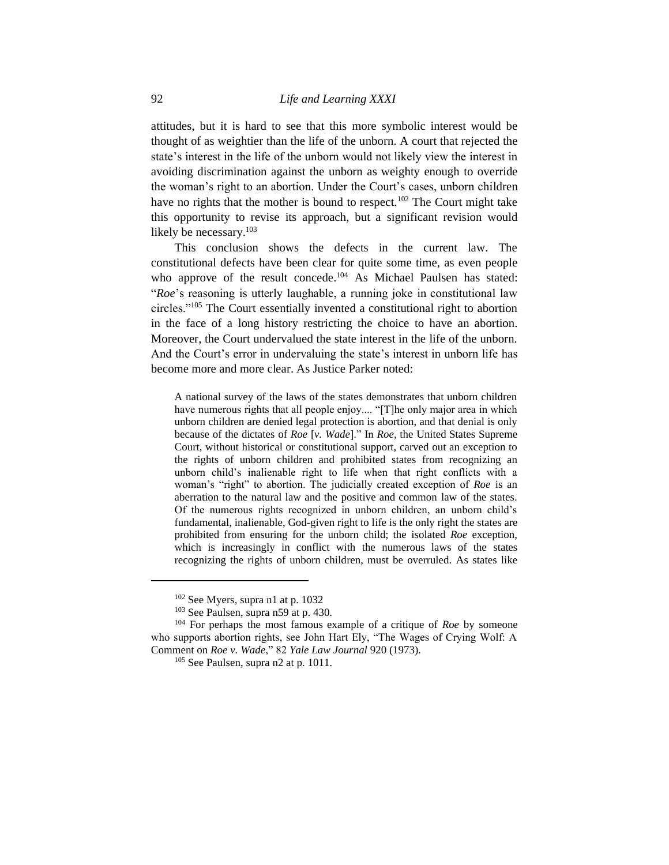attitudes, but it is hard to see that this more symbolic interest would be thought of as weightier than the life of the unborn. A court that rejected the state's interest in the life of the unborn would not likely view the interest in avoiding discrimination against the unborn as weighty enough to override the woman's right to an abortion. Under the Court's cases, unborn children have no rights that the mother is bound to respect.<sup>102</sup> The Court might take this opportunity to revise its approach, but a significant revision would likely be necessary.<sup>103</sup>

This conclusion shows the defects in the current law. The constitutional defects have been clear for quite some time, as even people who approve of the result concede.<sup>104</sup> As Michael Paulsen has stated: "*Roe*'s reasoning is utterly laughable, a running joke in constitutional law circles."<sup>105</sup> The Court essentially invented a constitutional right to abortion in the face of a long history restricting the choice to have an abortion. Moreover, the Court undervalued the state interest in the life of the unborn. And the Court's error in undervaluing the state's interest in unborn life has become more and more clear. As Justice Parker noted:

A national survey of the laws of the states demonstrates that unborn children have numerous rights that all people enjoy.... "[T]he only major area in which unborn children are denied legal protection is abortion, and that denial is only because of the dictates of *Roe* [*v. Wade*]." In *Roe*, the United States Supreme Court, without historical or constitutional support, carved out an exception to the rights of unborn children and prohibited states from recognizing an unborn child's inalienable right to life when that right conflicts with a woman's "right" to abortion. The judicially created exception of *Roe* is an aberration to the natural law and the positive and common law of the states. Of the numerous rights recognized in unborn children, an unborn child's fundamental, inalienable, God-given right to life is the only right the states are prohibited from ensuring for the unborn child; the isolated *Roe* exception, which is increasingly in conflict with the numerous laws of the states recognizing the rights of unborn children, must be overruled. As states like

<sup>102</sup> See Myers, supra n1 at p. 1032

<sup>103</sup> See Paulsen, supra n59 at p. 430.

<sup>104</sup> For perhaps the most famous example of a critique of *Roe* by someone who supports abortion rights, see John Hart Ely, "The Wages of Crying Wolf: A Comment on *Roe v. Wade*," 82 *Yale Law Journal* 920 (1973).

<sup>&</sup>lt;sup>105</sup> See Paulsen, supra n2 at p. 1011.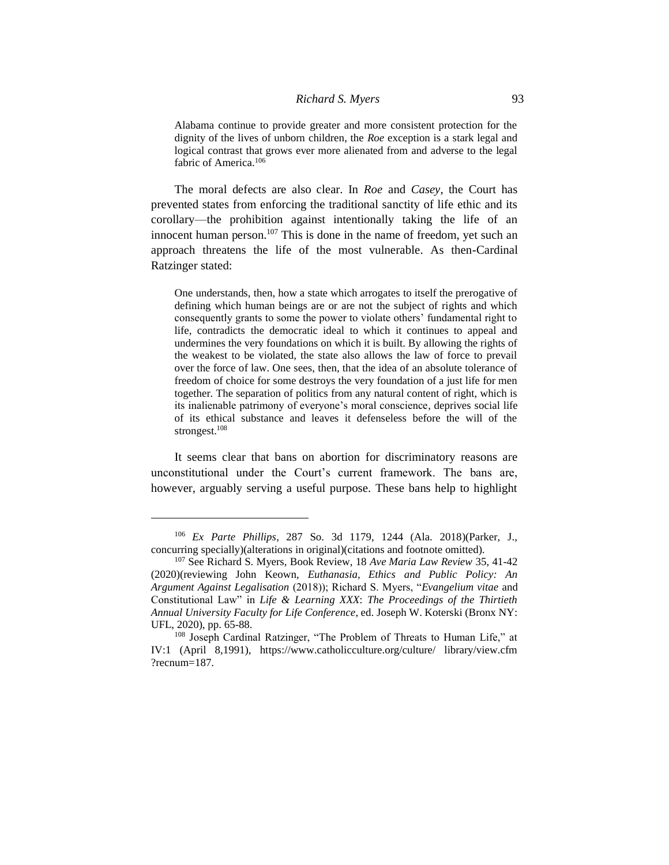Alabama continue to provide greater and more consistent protection for the dignity of the lives of unborn children, the *Roe* exception is a stark legal and logical contrast that grows ever more alienated from and adverse to the legal fabric of America.<sup>106</sup>

The moral defects are also clear. In *Roe* and *Casey*, the Court has prevented states from enforcing the traditional sanctity of life ethic and its corollary—the prohibition against intentionally taking the life of an innocent human person.<sup>107</sup> This is done in the name of freedom, yet such an approach threatens the life of the most vulnerable. As then-Cardinal Ratzinger stated:

One understands, then, how a state which arrogates to itself the prerogative of defining which human beings are or are not the subject of rights and which consequently grants to some the power to violate others' fundamental right to life, contradicts the democratic ideal to which it continues to appeal and undermines the very foundations on which it is built. By allowing the rights of the weakest to be violated, the state also allows the law of force to prevail over the force of law. One sees, then, that the idea of an absolute tolerance of freedom of choice for some destroys the very foundation of a just life for men together. The separation of politics from any natural content of right, which is its inalienable patrimony of everyone's moral conscience, deprives social life of its ethical substance and leaves it defenseless before the will of the strongest.<sup>108</sup>

It seems clear that bans on abortion for discriminatory reasons are unconstitutional under the Court's current framework. The bans are, however, arguably serving a useful purpose. These bans help to highlight

<sup>106</sup> *Ex Parte Phillips*, 287 So. 3d 1179, 1244 (Ala. 2018)(Parker, J., concurring specially)(alterations in original)(citations and footnote omitted).

<sup>107</sup> See Richard S. Myers, Book Review, 18 *Ave Maria Law Review* 35, 41-42 (2020)(reviewing John Keown, *Euthanasia, Ethics and Public Policy: An Argument Against Legalisation* (2018)); Richard S. Myers, "*Evangelium vitae* and Constitutional Law" in *Life & Learning XXX*: *The Proceedings of the Thirtieth Annual University Faculty for Life Conference*, ed. Joseph W. Koterski (Bronx NY: UFL, 2020), pp. 65-88.

<sup>108</sup> Joseph Cardinal Ratzinger, "The Problem of Threats to Human Life," at IV:1 (April 8,1991), https://www.catholicculture.org/culture/ library/view.cfm ?recnum=187.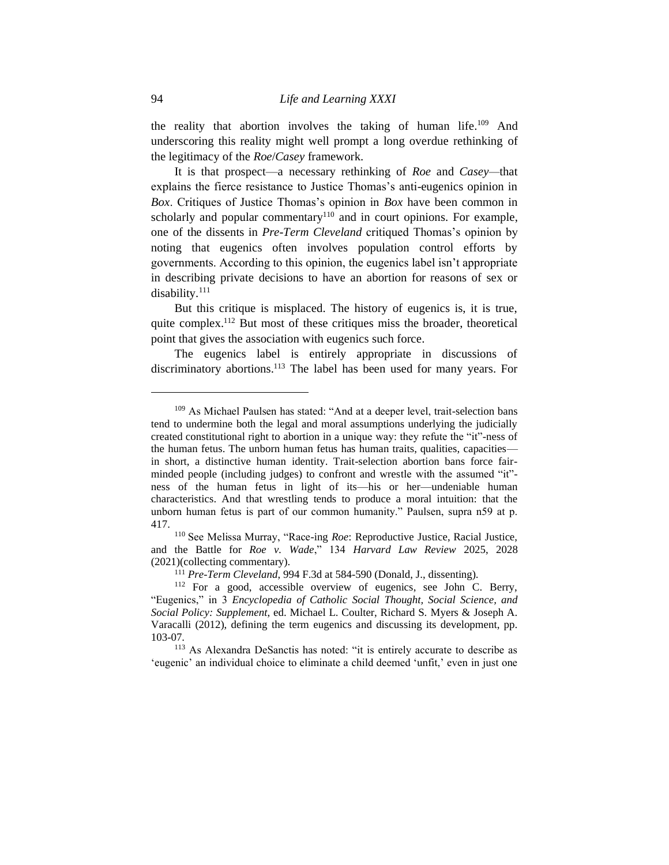the reality that abortion involves the taking of human life.<sup>109</sup> And underscoring this reality might well prompt a long overdue rethinking of the legitimacy of the *Roe*/*Casey* framework.

It is that prospect—a necessary rethinking of *Roe* and *Casey—*that explains the fierce resistance to Justice Thomas's anti-eugenics opinion in *Box*. Critiques of Justice Thomas's opinion in *Box* have been common in scholarly and popular commentary<sup>110</sup> and in court opinions. For example, one of the dissents in *Pre-Term Cleveland* critiqued Thomas's opinion by noting that eugenics often involves population control efforts by governments. According to this opinion, the eugenics label isn't appropriate in describing private decisions to have an abortion for reasons of sex or disability.<sup>111</sup>

But this critique is misplaced. The history of eugenics is, it is true, quite complex.<sup>112</sup> But most of these critiques miss the broader, theoretical point that gives the association with eugenics such force.

The eugenics label is entirely appropriate in discussions of discriminatory abortions.<sup>113</sup> The label has been used for many years. For

<sup>109</sup> As Michael Paulsen has stated: "And at a deeper level, trait-selection bans tend to undermine both the legal and moral assumptions underlying the judicially created constitutional right to abortion in a unique way: they refute the "it"-ness of the human fetus. The unborn human fetus has human traits, qualities, capacities in short, a distinctive human identity. Trait-selection abortion bans force fairminded people (including judges) to confront and wrestle with the assumed "it" ness of the human fetus in light of its—his or her—undeniable human characteristics. And that wrestling tends to produce a moral intuition: that the unborn human fetus is part of our common humanity." Paulsen, supra n59 at p. 417.

<sup>110</sup> See Melissa Murray, "Race-ing *Roe*: Reproductive Justice, Racial Justice, and the Battle for *Roe v. Wade*," 134 *Harvard Law Review* 2025, 2028 (2021)(collecting commentary).

<sup>111</sup> *Pre-Term Cleveland*, 994 F.3d at 584-590 (Donald, J., dissenting).

<sup>112</sup> For a good, accessible overview of eugenics, see John C. Berry, "Eugenics," in 3 *Encyclopedia of Catholic Social Thought, Social Science, and Social Policy: Supplement*, ed. Michael L. Coulter, Richard S. Myers & Joseph A. Varacalli (2012), defining the term eugenics and discussing its development, pp. 103-07.

<sup>113</sup> As Alexandra DeSanctis has noted: "it is entirely accurate to describe as 'eugenic' an individual choice to eliminate a child deemed 'unfit,' even in just one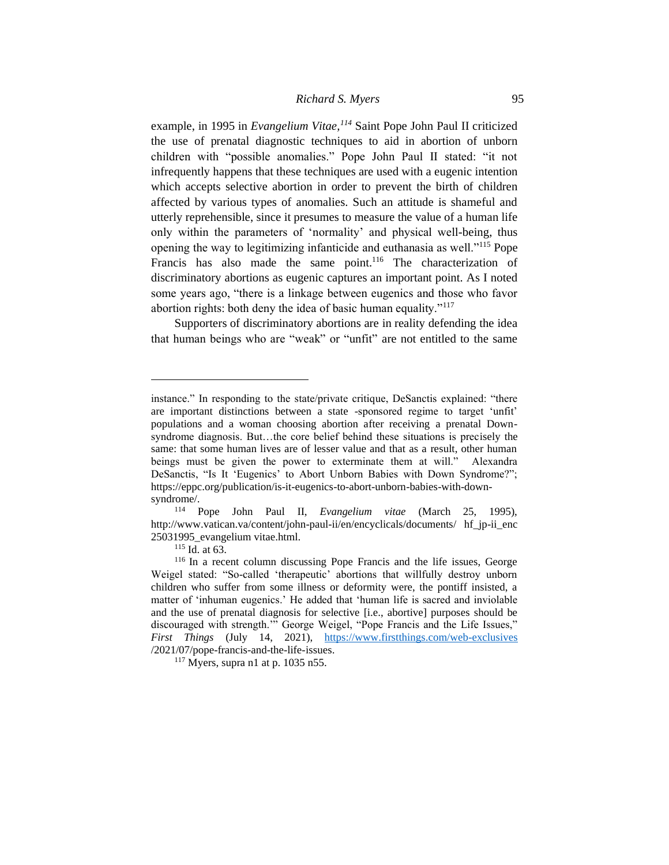# *Richard S. Myers* 95

example, in 1995 in *Evangelium Vitae,<sup>114</sup>* Saint Pope John Paul II criticized the use of prenatal diagnostic techniques to aid in abortion of unborn children with "possible anomalies." Pope John Paul II stated: "it not infrequently happens that these techniques are used with a eugenic intention which accepts selective abortion in order to prevent the birth of children affected by various types of anomalies. Such an attitude is shameful and utterly reprehensible, since it presumes to measure the value of a human life only within the parameters of 'normality' and physical well-being, thus opening the way to legitimizing infanticide and euthanasia as well."<sup>115</sup> Pope Francis has also made the same point.<sup>116</sup> The characterization of discriminatory abortions as eugenic captures an important point. As I noted some years ago, "there is a linkage between eugenics and those who favor abortion rights: both deny the idea of basic human equality."<sup>117</sup>

Supporters of discriminatory abortions are in reality defending the idea that human beings who are "weak" or "unfit" are not entitled to the same

<sup>115</sup> Id. at 63.

instance." In responding to the state/private critique, DeSanctis explained: "there are important distinctions between a state -sponsored regime to target 'unfit' populations and a woman choosing abortion after receiving a prenatal Downsyndrome diagnosis. But…the core belief behind these situations is precisely the same: that some human lives are of lesser value and that as a result, other human beings must be given the power to exterminate them at will." Alexandra DeSanctis, "Is It 'Eugenics' to Abort Unborn Babies with Down Syndrome?"; https://eppc.org/publication/is-it-eugenics-to-abort-unborn-babies-with-downsyndrome/.

<sup>114</sup> Pope John Paul II, *Evangelium vitae* (March 25, 1995), http://www.vatican.va/content/john-paul-ii/en/encyclicals/documents/ hf\_jp-ii\_enc 25031995\_evangelium vitae.html.

<sup>116</sup> In a recent column discussing Pope Francis and the life issues, George Weigel stated: "So-called 'therapeutic' abortions that willfully destroy unborn children who suffer from some illness or deformity were, the pontiff insisted, a matter of 'inhuman eugenics.' He added that 'human life is sacred and inviolable and the use of prenatal diagnosis for selective [i.e., abortive] purposes should be discouraged with strength.'" George Weigel, "Pope Francis and the Life Issues," *First Things* (July 14, 2021), <https://www.firstthings.com/web-exclusives> /2021/07/pope-francis-and-the-life-issues.

 $117$  Myers, supra n1 at p. 1035 n55.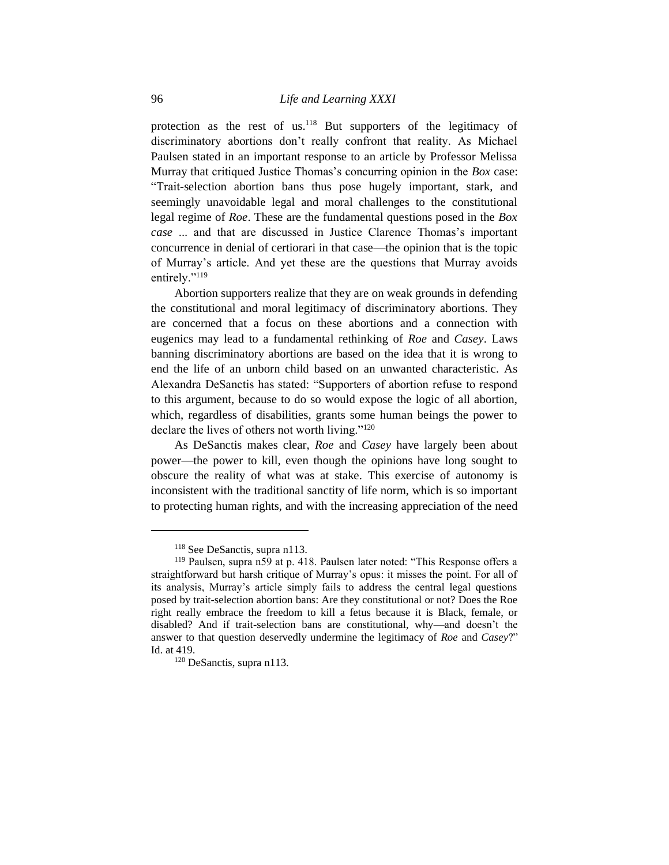protection as the rest of us.<sup>118</sup> But supporters of the legitimacy of discriminatory abortions don't really confront that reality. As Michael Paulsen stated in an important response to an article by Professor Melissa Murray that critiqued Justice Thomas's concurring opinion in the *Box* case: "Trait-selection abortion bans thus pose hugely important, stark, and seemingly unavoidable legal and moral challenges to the constitutional legal regime of *Roe*. These are the fundamental questions posed in the *Box case* ... and that are discussed in Justice Clarence Thomas's important concurrence in denial of certiorari in that case—the opinion that is the topic of Murray's article. And yet these are the questions that Murray avoids entirely."<sup>119</sup>

Abortion supporters realize that they are on weak grounds in defending the constitutional and moral legitimacy of discriminatory abortions. They are concerned that a focus on these abortions and a connection with eugenics may lead to a fundamental rethinking of *Roe* and *Casey*. Laws banning discriminatory abortions are based on the idea that it is wrong to end the life of an unborn child based on an unwanted characteristic. As Alexandra DeSanctis has stated: "Supporters of abortion refuse to respond to this argument, because to do so would expose the logic of all abortion, which, regardless of disabilities, grants some human beings the power to declare the lives of others not worth living."<sup>120</sup>

As DeSanctis makes clear, *Roe* and *Casey* have largely been about power—the power to kill, even though the opinions have long sought to obscure the reality of what was at stake. This exercise of autonomy is inconsistent with the traditional sanctity of life norm, which is so important to protecting human rights, and with the increasing appreciation of the need

<sup>118</sup> See DeSanctis, supra n113.

<sup>119</sup> Paulsen, supra n59 at p. 418. Paulsen later noted: "This Response offers a straightforward but harsh critique of Murray's opus: it misses the point. For all of its analysis, Murray's article simply fails to address the central legal questions posed by trait-selection abortion bans: Are they constitutional or not? Does the Roe right really embrace the freedom to kill a fetus because it is Black, female, or disabled? And if trait-selection bans are constitutional, why—and doesn't the answer to that question deservedly undermine the legitimacy of *Roe* and *Casey*?" Id. at 419.

<sup>&</sup>lt;sup>120</sup> DeSanctis, supra n113.